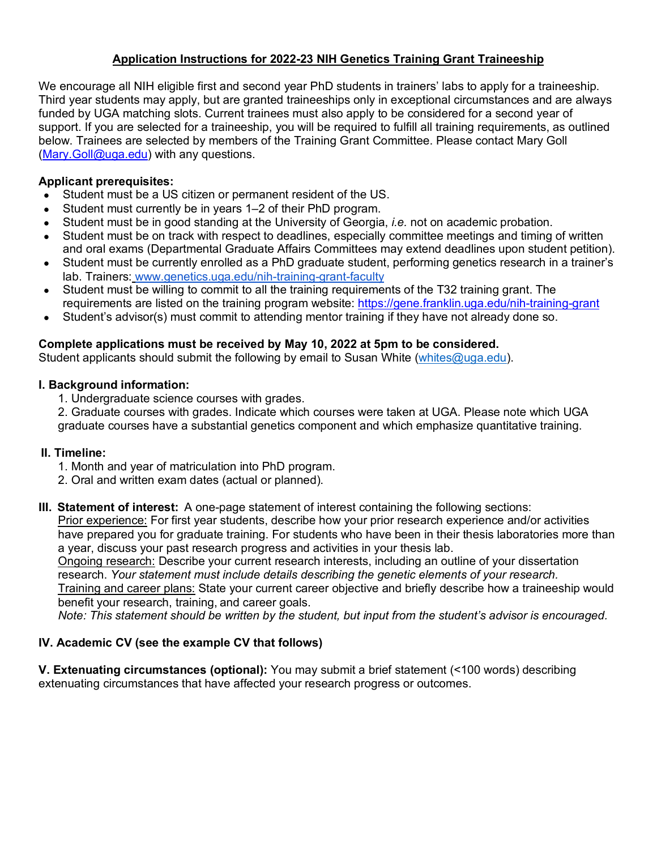# **Application Instructions for 2022-23 NIH Genetics Training Grant Traineeship**

We encourage all NIH eligible first and second year PhD students in trainers' labs to apply for a traineeship. Third year students may apply, but are granted traineeships only in exceptional circumstances and are always funded by UGA matching slots. Current trainees must also apply to be considered for a second year of support. If you are selected for a traineeship, you will be required to fulfill all training requirements, as outlined below. Trainees are selected by members of the Training Grant Committee. Please contact Mary Goll (Mary.Goll@uga.edu) with any questions.

# **Applicant prerequisites:**

- Student must be a US citizen or permanent resident of the US.
- Student must currently be in years 1–2 of their PhD program.
- Student must be in good standing at the University of Georgia, *i.e.* not on academic probation.
- Student must be on track with respect to deadlines, especially committee meetings and timing of written and oral exams (Departmental Graduate Affairs Committees may extend deadlines upon student petition).
- Student must be currently enrolled as a PhD graduate student, performing genetics research in a trainer's lab. Trainers: www.genetics.uga.edu/nih-training-grant-faculty
- Student must be willing to commit to all the training requirements of the T32 training grant. The requirements are listed on the training program website: https://gene.franklin.uga.edu/nih-training-grant
- Student's advisor(s) must commit to attending mentor training if they have not already done so.

# **Complete applications must be received by May 10, 2022 at 5pm to be considered.**

Student applicants should submit the following by email to Susan White (whites@uga.edu).

# **I. Background information:**

1. Undergraduate science courses with grades.

2. Graduate courses with grades. Indicate which courses were taken at UGA. Please note which UGA graduate courses have a substantial genetics component and which emphasize quantitative training.

## **II. Timeline:**

- 1. Month and year of matriculation into PhD program.
- 2. Oral and written exam dates (actual or planned).
- **III.  Statement of interest:** A one-page statement of interest containing the following sections:

Prior experience: For first year students, describe how your prior research experience and/or activities have prepared you for graduate training. For students who have been in their thesis laboratories more than a year, discuss your past research progress and activities in your thesis lab.

Ongoing research: Describe your current research interests, including an outline of your dissertation research. *Your statement must include details describing the genetic elements of your research.*

Training and career plans: State your current career objective and briefly describe how a traineeship would benefit your research, training, and career goals.

*Note: This statement should be written by the student, but input from the student's advisor is encouraged.*

# **IV. Academic CV (see the example CV that follows)**

**V. Extenuating circumstances (optional):** You may submit a brief statement (<100 words) describing extenuating circumstances that have affected your research progress or outcomes.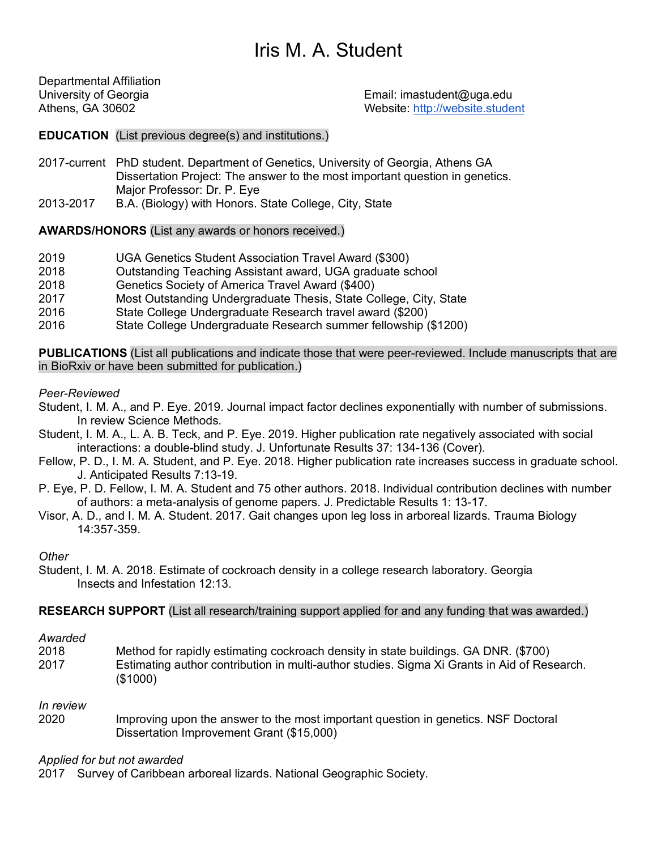# Iris M. A. Student

Departmental Affiliation

University of Georgia Email: imastudent@uga.edu Athens, GA 30602 Website: http://website.student

## **EDUCATION** (List previous degree(s) and institutions.)

- 2017-current PhD student. Department of Genetics, University of Georgia, Athens GA Dissertation Project: The answer to the most important question in genetics. Major Professor: Dr. P. Eye
- 2013-2017 B.A. (Biology) with Honors. State College, City, State

## **AWARDS/HONORS** (List any awards or honors received.)

- 2019 UGA Genetics Student Association Travel Award (\$300)
- 2018 Outstanding Teaching Assistant award, UGA graduate school
- 2018 Genetics Society of America Travel Award (\$400)
- 2017 Most Outstanding Undergraduate Thesis, State College, City, State
- 2016 State College Undergraduate Research travel award (\$200)
- 2016 State College Undergraduate Research summer fellowship (\$1200)

**PUBLICATIONS** (List all publications and indicate those that were peer-reviewed. Include manuscripts that are in BioRxiv or have been submitted for publication.)

### *Peer-Reviewed*

- Student, I. M. A., and P. Eye. 2019. Journal impact factor declines exponentially with number of submissions. In review Science Methods.
- Student, I. M. A., L. A. B. Teck, and P. Eye. 2019. Higher publication rate negatively associated with social interactions: a double-blind study. J. Unfortunate Results 37: 134-136 (Cover).
- Fellow, P. D., I. M. A. Student, and P. Eye. 2018. Higher publication rate increases success in graduate school. J. Anticipated Results 7:13-19.
- P. Eye, P. D. Fellow, I. M. A. Student and 75 other authors. 2018. Individual contribution declines with number of authors: a meta-analysis of genome papers. J. Predictable Results 1: 13-17.
- Visor, A. D., and I. M. A. Student. 2017. Gait changes upon leg loss in arboreal lizards. Trauma Biology 14:357-359.

### *Other*

Student, I. M. A. 2018. Estimate of cockroach density in a college research laboratory. Georgia Insects and Infestation 12:13.

## **RESEARCH SUPPORT** (List all research/training support applied for and any funding that was awarded.)

#### *Awarded*

2018 Method for rapidly estimating cockroach density in state buildings. GA DNR. (\$700) 2017 Estimating author contribution in multi-author studies. Sigma Xi Grants in Aid of Research. (\$1000)

### *In review*

2020 Improving upon the answer to the most important question in genetics. NSF Doctoral Dissertation Improvement Grant (\$15,000)

### *Applied for but not awarded*

2017 Survey of Caribbean arboreal lizards. National Geographic Society.